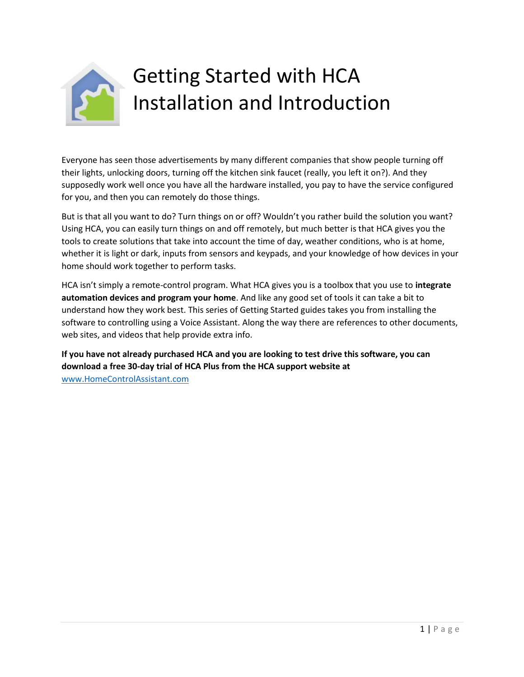

# Getting Started with HCA Installation and Introduction

Everyone has seen those advertisements by many different companies that show people turning off their lights, unlocking doors, turning off the kitchen sink faucet (really, you left it on?). And they supposedly work well once you have all the hardware installed, you pay to have the service configured for you, and then you can remotely do those things.

But is that all you want to do? Turn things on or off? Wouldn't you rather build the solution you want? Using HCA, you can easily turn things on and off remotely, but much better is that HCA gives you the tools to create solutions that take into account the time of day, weather conditions, who is at home, whether it is light or dark, inputs from sensors and keypads, and your knowledge of how devices in your home should work together to perform tasks.

HCA isn't simply a remote-control program. What HCA gives you is a toolbox that you use to **integrate automation devices and program your home**. And like any good set of tools it can take a bit to understand how they work best. This series of Getting Started guides takes you from installing the software to controlling using a Voice Assistant. Along the way there are references to other documents, web sites, and videos that help provide extra info.

**If you have not already purchased HCA and you are looking to test drive this software, you can download a free 30-day trial of HCA Plus from the HCA support website at**  [www.HomeControlAssistant.com](https://www.homecontrolassistant.com/)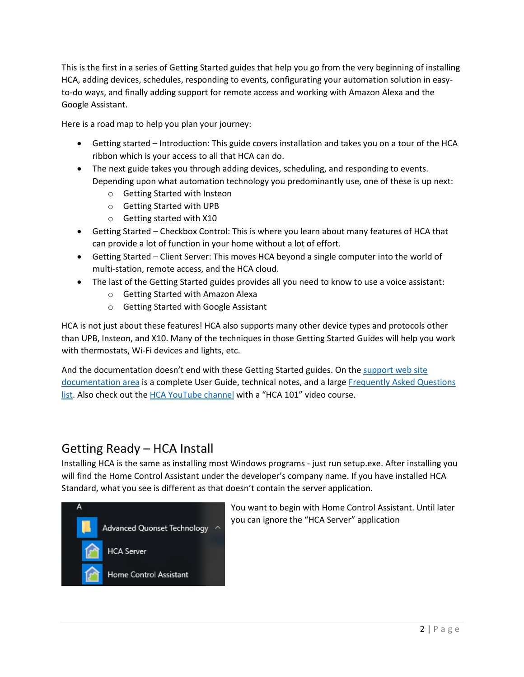This is the first in a series of Getting Started guides that help you go from the very beginning of installing HCA, adding devices, schedules, responding to events, configurating your automation solution in easyto-do ways, and finally adding support for remote access and working with Amazon Alexa and the Google Assistant.

Here is a road map to help you plan your journey:

- Getting started Introduction: This guide covers installation and takes you on a tour of the HCA ribbon which is your access to all that HCA can do.
- The next guide takes you through adding devices, scheduling, and responding to events. Depending upon what automation technology you predominantly use, one of these is up next:
	- o Getting Started with Insteon
	- o Getting Started with UPB
	- o Getting started with X10
- Getting Started Checkbox Control: This is where you learn about many features of HCA that can provide a lot of function in your home without a lot of effort.
- Getting Started Client Server: This moves HCA beyond a single computer into the world of multi-station, remote access, and the HCA cloud.
- The last of the Getting Started guides provides all you need to know to use a voice assistant:
	- o Getting Started with Amazon Alexa
	- o Getting Started with Google Assistant

HCA is not just about these features! HCA also supports many other device types and protocols other than UPB, Insteon, and X10. Many of the techniques in those Getting Started Guides will help you work with thermostats, Wi-Fi devices and lights, etc.

And the documentation doesn't end with these Getting Started guides. On the support web site [documentation area](https://www.homecontrolassistant.com/user-guide.php) is a complete User Guide, technical notes, and a large [Frequently Asked Questions](https://www.homecontrolassistant.com/faq.php)  [list.](https://www.homecontrolassistant.com/faq.php) Also check out the [HCA YouTube channel](http://youtube.hcatech.com/) with a "HCA 101" video course.

### Getting Ready – HCA Install

Installing HCA is the same as installing most Windows programs - just run setup.exe. After installing you will find the Home Control Assistant under the developer's company name. If you have installed HCA Standard, what you see is different as that doesn't contain the server application.



You want to begin with Home Control Assistant. Until later you can ignore the "HCA Server" application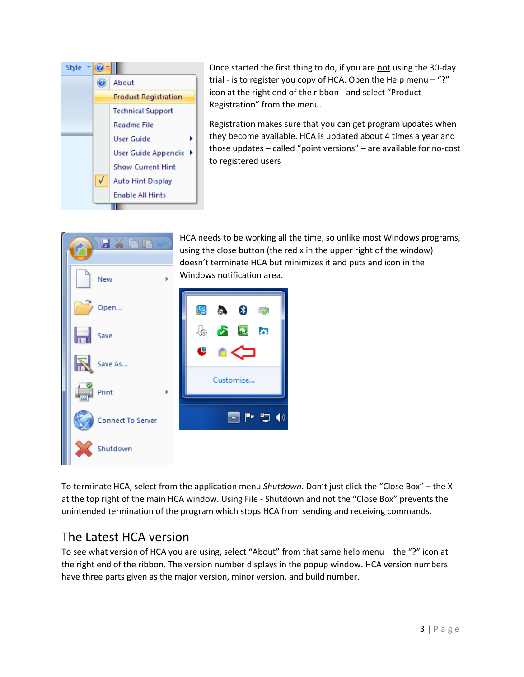

Once started the first thing to do, if you are not using the 30-day trial - is to register you copy of HCA. Open the Help menu – "?" icon at the right end of the ribbon - and select "Product Registration" from the menu.

Registration makes sure that you can get program updates when they become available. HCA is updated about 4 times a year and those updates – called "point versions" – are available for no-cost to registered users



HCA needs to be working all the time, so unlike most Windows programs, using the close button (the red x in the upper right of the window) doesn't terminate HCA but minimizes it and puts and icon in the

To terminate HCA, select from the application menu *Shutdown*. Don't just click the "Close Box" – the X at the top right of the main HCA window. Using File - Shutdown and not the "Close Box" prevents the unintended termination of the program which stops HCA from sending and receiving commands.

## The Latest HCA version

To see what version of HCA you are using, select "About" from that same help menu – the "?" icon at the right end of the ribbon. The version number displays in the popup window. HCA version numbers have three parts given as the major version, minor version, and build number.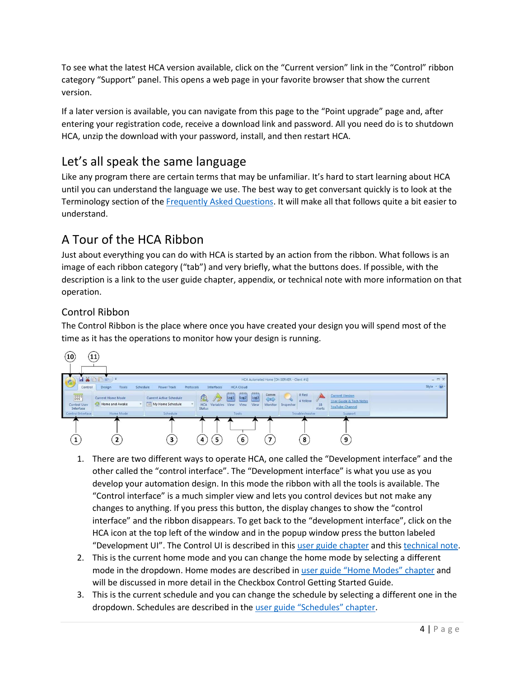To see what the latest HCA version available, click on the "Current version" link in the "Control" ribbon category "Support" panel. This opens a web page in your favorite browser that show the current version.

If a later version is available, you can navigate from this page to the "Point upgrade" page and, after entering your registration code, receive a download link and password. All you need do is to shutdown HCA, unzip the download with your password, install, and then restart HCA.

## Let's all speak the same language

Like any program there are certain terms that may be unfamiliar. It's hard to start learning about HCA until you can understand the language we use. The best way to get conversant quickly is to look at the Terminology section of the [Frequently Asked Questions.](https://www.homecontrolassistant.com/faq.php) It will make all that follows quite a bit easier to understand.

## A Tour of the HCA Ribbon

Just about everything you can do with HCA is started by an action from the ribbon. What follows is an image of each ribbon category ("tab") and very briefly, what the buttons does. If possible, with the description is a link to the user guide chapter, appendix, or technical note with more information on that operation.

#### Control Ribbon

The Control Ribbon is the place where once you have created your design you will spend most of the time as it has the operations to monitor how your design is running.



- 1. There are two different ways to operate HCA, one called the "Development interface" and the other called the "control interface". The "Development interface" is what you use as you develop your automation design. In this mode the ribbon with all the tools is available. The "Control interface" is a much simpler view and lets you control devices but not make any changes to anything. If you press this button, the display changes to show the "control interface" and the ribbon disappears. To get back to the "development interface", click on the HCA icon at the top left of the window and in the popup window press the button labeled "Development UI". The Control UI is described in thi[s user guide chapter](https://www.homecontrolassistant.com/download/V15/Doc/24_Control%20UI.pdf) and thi[s technical note.](https://www.homecontrolassistant.com/download/V15/Doc/TechNotes/TechNote_120_ControlUIConfiguration.pdf)
- 2. This is the current home mode and you can change the home mode by selecting a different mode in the dropdown. Home modes are described in user guide ["Home Modes"](https://www.homecontrolassistant.com/download/V15/Doc/06_Home%20Modes.pdf) chapter and will be discussed in more detail in the Checkbox Control Getting Started Guide.
- 3. This is the current schedule and you can change the schedule by selecting a different one in the dropdown. Schedules are described in the [user guide "Schedules" chapter](https://www.homecontrolassistant.com/download/V15/Doc/08_Schedules.pdf).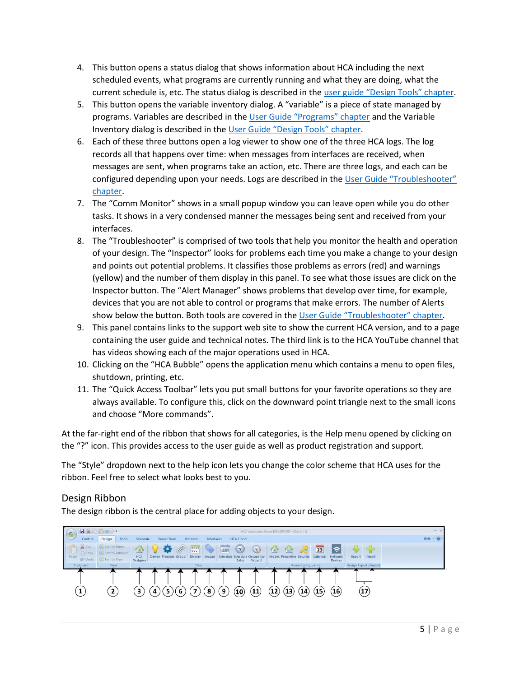- 4. This button opens a status dialog that shows information about HCA including the next scheduled events, what programs are currently running and what they are doing, what the current schedule is, etc. The status dialog is described in the user guide ["Design Tools" chapter](https://www.homecontrolassistant.com/download/V15/Doc/25_Design%20Tools.pdf).
- 5. This button opens the variable inventory dialog. A "variable" is a piece of state managed by programs. Variables are described in the [User Guide "Programs" chapter](https://www.homecontrolassistant.com/download/V15/Doc/11_Programs.pdf) and the Variable Inventory dialog is described in the User G[uide "Design Tools" chapter](https://www.homecontrolassistant.com/download/V15/Doc/25_Design%20Tools.pdf).
- 6. Each of these three buttons open a log viewer to show one of the three HCA logs. The log records all that happens over time: when messages from interfaces are received, when messages are sent, when programs take an action, etc. There are three logs, and each can be configured depending upon your needs. Logs are described in the [User Guide "Troubleshooter"](https://www.homecontrolassistant.com/download/V15/Doc/20_Troubleshooter.pdf)  [chapter.](https://www.homecontrolassistant.com/download/V15/Doc/20_Troubleshooter.pdf)
- 7. The "Comm Monitor" shows in a small popup window you can leave open while you do other tasks. It shows in a very condensed manner the messages being sent and received from your interfaces.
- 8. The "Troubleshooter" is comprised of two tools that help you monitor the health and operation of your design. The "Inspector" looks for problems each time you make a change to your design and points out potential problems. It classifies those problems as errors (red) and warnings (yellow) and the number of them display in this panel. To see what those issues are click on the Inspector button. The "Alert Manager" shows problems that develop over time, for example, devices that you are not able to control or programs that make errors. The number of Alerts show below the button. Both tools are covered in the [User Guide "Troubleshooter" chapter](https://www.homecontrolassistant.com/download/V15/Doc/20_Troubleshooter.pdf).
- 9. This panel contains links to the support web site to show the current HCA version, and to a page containing the user guide and technical notes. The third link is to the HCA YouTube channel that has videos showing each of the major operations used in HCA.
- 10. Clicking on the "HCA Bubble" opens the application menu which contains a menu to open files, shutdown, printing, etc.
- 11. The "Quick Access Toolbar" lets you put small buttons for your favorite operations so they are always available. To configure this, click on the downward point triangle next to the small icons and choose "More commands".

At the far-right end of the ribbon that shows for all categories, is the Help menu opened by clicking on the "?" icon. This provides access to the user guide as well as product registration and support.

The "Style" dropdown next to the help icon lets you change the color scheme that HCA uses for the ribbon. Feel free to select what looks best to you.

#### Design Ribbon

The design ribbon is the central place for adding objects to your design.

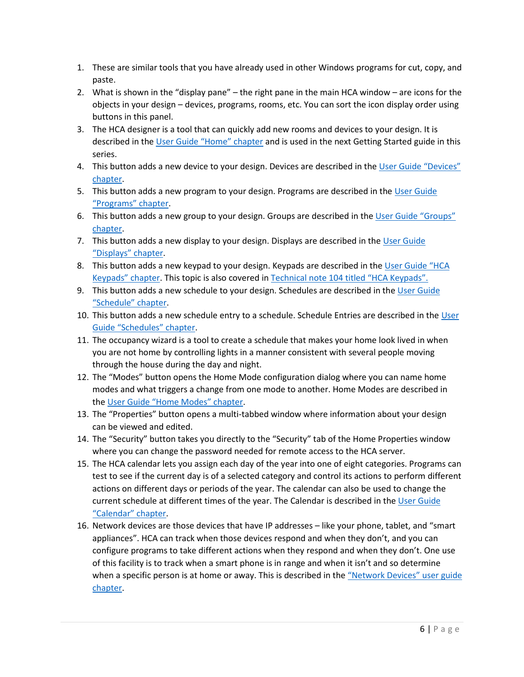- 1. These are similar tools that you have already used in other Windows programs for cut, copy, and paste.
- 2. What is shown in the "display pane" the right pane in the main HCA window are icons for the objects in your design – devices, programs, rooms, etc. You can sort the icon display order using buttons in this panel.
- 3. The HCA designer is a tool that can quickly add new rooms and devices to your design. It is described in the [User Guide "Home" chapter](https://www.homecontrolassistant.com/download/V15/Doc/04_Your%20Home.pdf) and is used in the next Getting Started guide in this series.
- 4. This button adds a new device to your design. Devices are described in the User Guide "Devices" [chapter.](https://www.homecontrolassistant.com/download/V15/Doc/05_Devices.pdf)
- 5. This button adds a new program to your design. Programs are described in the [User Guide](https://www.homecontrolassistant.com/download/V15/Doc/11_Programs.pdf)  ["Programs" chapter](https://www.homecontrolassistant.com/download/V15/Doc/11_Programs.pdf).
- 6. This button adds a new group to your design. Groups are described in the User Guide "Groups" [chapter.](https://www.homecontrolassistant.com/download/V15/Doc/10_Groups.pdf)
- 7. This button adds a new display to your design. Displays are described in th[e User Guide](https://www.homecontrolassistant.com/download/V15/Doc/15_Displays.pdf)  ["Displays" chapter](https://www.homecontrolassistant.com/download/V15/Doc/15_Displays.pdf).
- 8. This button adds a new keypad to your design. Keypads are described in the [User Guide "HCA](https://www.homecontrolassistant.com/download/V15/Doc/18_Keypads.pdf)  [Keypads" chapter](https://www.homecontrolassistant.com/download/V15/Doc/18_Keypads.pdf). This topic is also covered in [Technical note 104 titled "HCA Keypads".](https://www.homecontrolassistant.com/download/V15/Doc/TechNotes/TechNote_104_HCAKeypads.pdf)
- 9. This button adds a new schedule to your design. Schedules are described in the User Guide ["Schedule" chapter](https://www.homecontrolassistant.com/download/V15/Doc/08_Schedules.pdf).
- 10. This button adds a new schedule entry to a schedule. Schedule Entries are described in th[e User](https://www.homecontrolassistant.com/download/V15/Doc/08_Schedules.pdf)  [Guide "Schedules" chapter](https://www.homecontrolassistant.com/download/V15/Doc/08_Schedules.pdf).
- 11. The occupancy wizard is a tool to create a schedule that makes your home look lived in when you are not home by controlling lights in a manner consistent with several people moving through the house during the day and night.
- 12. The "Modes" button opens the Home Mode configuration dialog where you can name home modes and what triggers a change from one mode to another. Home Modes are described in the [User Guide "Home Modes" chapter](https://www.homecontrolassistant.com/download/V15/Doc/06_Home%20Modes.pdf).
- 13. The "Properties" button opens a multi-tabbed window where information about your design can be viewed and edited.
- 14. The "Security" button takes you directly to the "Security" tab of the Home Properties window where you can change the password needed for remote access to the HCA server.
- 15. The HCA calendar lets you assign each day of the year into one of eight categories. Programs can test to see if the current day is of a selected category and control its actions to perform different actions on different days or periods of the year. The calendar can also be used to change the current schedule at different times of the year. The Calendar is described in the [User Guide](https://www.homecontrolassistant.com/download/V15/Doc/22_Calendar.pdf)  ["Calendar" chapter](https://www.homecontrolassistant.com/download/V15/Doc/22_Calendar.pdf).
- 16. Network devices are those devices that have IP addresses like your phone, tablet, and "smart appliances". HCA can track when those devices respond and when they don't, and you can configure programs to take different actions when they respond and when they don't. One use of this facility is to track when a smart phone is in range and when it isn't and so determine when a specific person is at home or away. This is described in the ["Network Devices"](https://www.homecontrolassistant.com/download/V15/Doc/19_Network%20Devices.pdf) user guide [chapter.](https://www.homecontrolassistant.com/download/V15/Doc/19_Network%20Devices.pdf)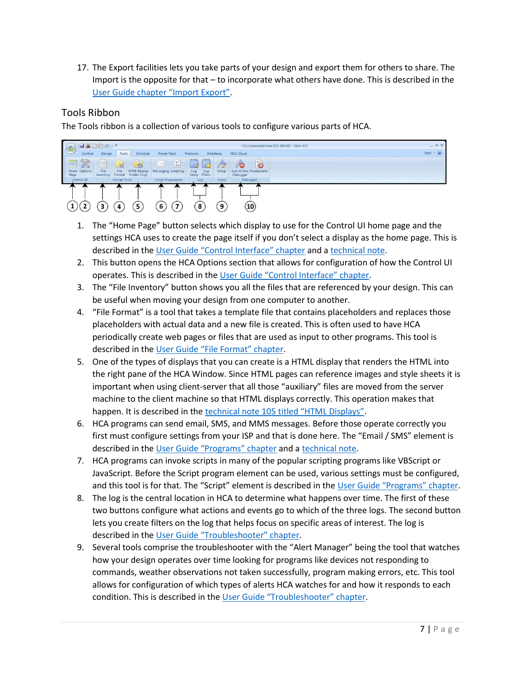17. The Export facilities lets you take parts of your design and export them for others to share. The Import is the opposite for that – to incorporate what others have done. This is described in the [User Guide chapter "Import Export"](https://www.homecontrolassistant.com/download/V15/Doc/27_Import%20Export.pdf).

#### Tools Ribbon

The Tools ribbon is a collection of various tools to configure various parts of HCA.



- 1. The "Home Page" button selects which display to use for the Control UI home page and the settings HCA uses to create the page itself if you don't select a display as the home page. This is described in the [User Guide "Control Interface" chapter](https://www.homecontrolassistant.com/download/V15/Doc/24_Control%20UI.pdf) and a [technical note.](https://www.homecontrolassistant.com/download/V15/Doc/TechNotes/TechNote_120_ControlUIConfiguration.pdf)
- 2. This button opens the HCA Options section that allows for configuration of how the Control UI operates. This is described in the [User Guide "Control Interface" chapter](https://www.homecontrolassistant.com/download/V15/Doc/24_Control%20UI.pdf).
- 3. The "File Inventory" button shows you all the files that are referenced by your design. This can be useful when moving your design from one computer to another.
- 4. "File Format" is a tool that takes a template file that contains placeholders and replaces those placeholders with actual data and a new file is created. This is often used to have HCA periodically create web pages or files that are used as input to other programs. This tool is described in the [User Guide "](https://www.homecontrolassistant.com/download/V15/Doc/26_File%20Format.pdf)File Format" chapter.
- 5. One of the types of displays that you can create is a HTML display that renders the HTML into the right pane of the HCA Window. Since HTML pages can reference images and style sheets it is important when using client-server that all those "auxiliary" files are moved from the server machine to the client machine so that HTML displays correctly. This operation makes that happen. It is described in th[e technical note 105 titled](https://www.homecontrolassistant.com/download/V15/Doc/TechNotes/TechNote_105_HTML.pdf) "HTML Displays".
- 6. HCA programs can send email, SMS, and MMS messages. Before those operate correctly you first must configure settings from your ISP and that is done here. The "Email / SMS" element is described in the [User Guide "Programs" chapter](https://www.homecontrolassistant.com/download/V15/Doc/11_Programs.pdf) and a [technical note.](https://www.homecontrolassistant.com/download/V15/Doc/TechNotes/TechNote_121_Messaging.pdf)
- 7. HCA programs can invoke scripts in many of the popular scripting programs like VBScript or JavaScript. Before the Script program element can be used, various settings must be configured, and this tool is for that. The "Script" element is described in the [User Guide "Programs" chapter](https://www.homecontrolassistant.com/download/V15/Doc/11_Programs.pdf).
- 8. The log is the central location in HCA to determine what happens over time. The first of these two buttons configure what actions and events go to which of the three logs. The second button lets you create filters on the log that helps focus on specific areas of interest. The log is described in the [User Guide "Troubleshooter" chapte](https://www.homecontrolassistant.com/download/V15/Doc/20_Troubleshooter.pdf)r.
- 9. Several tools comprise the troubleshooter with the "Alert Manager" being the tool that watches how your design operates over time looking for programs like devices not responding to commands, weather observations not taken successfully, program making errors, etc. This tool allows for configuration of which types of alerts HCA watches for and how it responds to each condition. This is described in the [User Guide "Troubleshooter" chapter](https://www.homecontrolassistant.com/download/V15/Doc/20_Troubleshooter.pdf).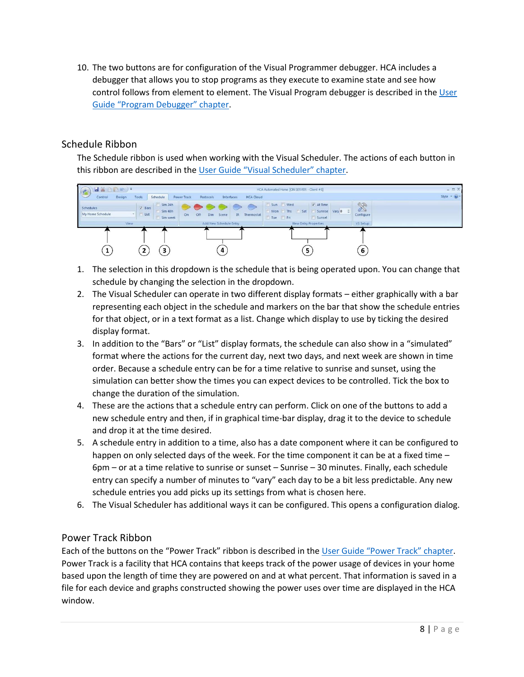10. The two buttons are for configuration of the Visual Programmer debugger. HCA includes a debugger that allows you to stop programs as they execute to examine state and see how control follows from element to element. The Visual Program debugger is described in th[e User](https://www.homecontrolassistant.com/download/V15/Doc/12_Debugger.pdf)  [Guide "Program Debugger" chapter](https://www.homecontrolassistant.com/download/V15/Doc/12_Debugger.pdf).

#### Schedule Ribbon

The Schedule ribbon is used when working with the Visual Scheduler. The actions of each button in this ribbon are described in the [User Guide "Visual Scheduler" chapter](https://www.homecontrolassistant.com/download/V15/Doc/09_Visual%20Scheduler.pdf).



- 1. The selection in this dropdown is the schedule that is being operated upon. You can change that schedule by changing the selection in the dropdown.
- 2. The Visual Scheduler can operate in two different display formats either graphically with a bar representing each object in the schedule and markers on the bar that show the schedule entries for that object, or in a text format as a list. Change which display to use by ticking the desired display format.
- 3. In addition to the "Bars" or "List" display formats, the schedule can also show in a "simulated" format where the actions for the current day, next two days, and next week are shown in time order. Because a schedule entry can be for a time relative to sunrise and sunset, using the simulation can better show the times you can expect devices to be controlled. Tick the box to change the duration of the simulation.
- 4. These are the actions that a schedule entry can perform. Click on one of the buttons to add a new schedule entry and then, if in graphical time-bar display, drag it to the device to schedule and drop it at the time desired.
- 5. A schedule entry in addition to a time, also has a date component where it can be configured to happen on only selected days of the week. For the time component it can be at a fixed time -6pm – or at a time relative to sunrise or sunset – Sunrise – 30 minutes. Finally, each schedule entry can specify a number of minutes to "vary" each day to be a bit less predictable. Any new schedule entries you add picks up its settings from what is chosen here.
- 6. The Visual Scheduler has additional ways it can be configured. This opens a configuration dialog.

#### Power Track Ribbon

Each of the buttons on the "Power Track" ribbon is described in the [User Guide "Power Track" chapter](https://www.homecontrolassistant.com/download/V15/Doc/17_Power%20Track.pdf). Power Track is a facility that HCA contains that keeps track of the power usage of devices in your home based upon the length of time they are powered on and at what percent. That information is saved in a file for each device and graphs constructed showing the power uses over time are displayed in the HCA window.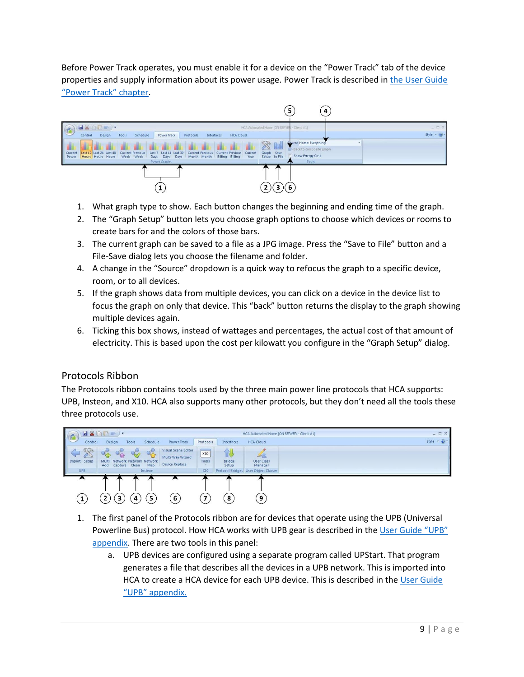Before Power Track operates, you must enable it for a device on the "Power Track" tab of the device properties and supply information about its power usage. Power Track is described in [the User Guide](https://www.homecontrolassistant.com/download/V15/Doc/17_Power%20Track.pdf)  ["Power Track" chapter](https://www.homecontrolassistant.com/download/V15/Doc/17_Power%20Track.pdf).



- 1. What graph type to show. Each button changes the beginning and ending time of the graph.
- 2. The "Graph Setup" button lets you choose graph options to choose which devices or rooms to create bars for and the colors of those bars.
- 3. The current graph can be saved to a file as a JPG image. Press the "Save to File" button and a File-Save dialog lets you choose the filename and folder.
- 4. A change in the "Source" dropdown is a quick way to refocus the graph to a specific device, room, or to all devices.
- 5. If the graph shows data from multiple devices, you can click on a device in the device list to focus the graph on only that device. This "back" button returns the display to the graph showing multiple devices again.
- 6. Ticking this box shows, instead of wattages and percentages, the actual cost of that amount of electricity. This is based upon the cost per kilowatt you configure in the "Graph Setup" dialog.

#### Protocols Ribbon

The Protocols ribbon contains tools used by the three main power line protocols that HCA supports: UPB, Insteon, and X10. HCA also supports many other protocols, but they don't need all the tools these three protocols use.



- 1. The first panel of the Protocols ribbon are for devices that operate using the UPB (Universal Powerline Bus) protocol. How HCA works with UPB gear is described in the User Guide "UPB" [appendix.](https://www.homecontrolassistant.com/download/V15/Doc/a08_UPB.pdf) There are two tools in this panel:
	- a. UPB devices are configured using a separate program called UPStart. That program generates a file that describes all the devices in a UPB network. This is imported into HCA to create a HCA device for each UPB device. This is described in th[e User Guide](https://www.homecontrolassistant.com/download/V15/Doc/a08_UPB.pdf)  ["UPB" appendix.](https://www.homecontrolassistant.com/download/V15/Doc/a08_UPB.pdf)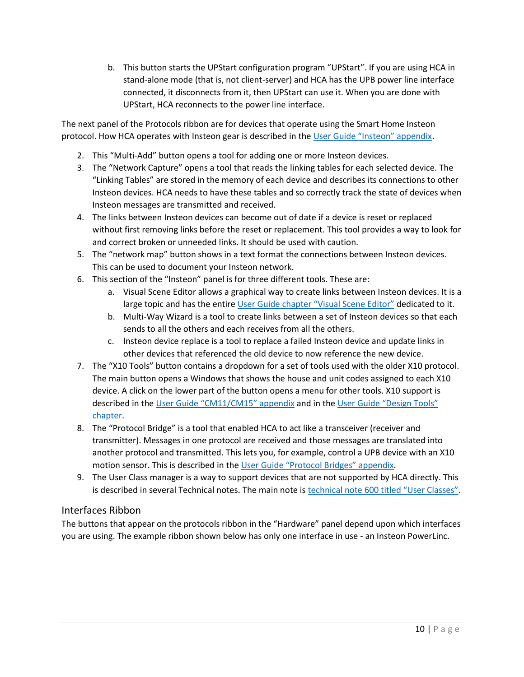b. This button starts the UPStart configuration program "UPStart". If you are using HCA in stand-alone mode (that is, not client-server) and HCA has the UPB power line interface connected, it disconnects from it, then UPStart can use it. When you are done with UPStart, HCA reconnects to the power line interface.

The next panel of the Protocols ribbon are for devices that operate using the Smart Home Insteon protocol. How HCA operates with Insteon gear is described in the [User Guide "Insteon" appendix](https://www.homecontrolassistant.com/download/V15/Doc/a09_Insteon.pdf).

- 2. This "Multi-Add" button opens a tool for adding one or more Insteon devices.
- 3. The "Network Capture" opens a tool that reads the linking tables for each selected device. The "Linking Tables" are stored in the memory of each device and describes its connections to other Insteon devices. HCA needs to have these tables and so correctly track the state of devices when Insteon messages are transmitted and received.
- 4. The links between Insteon devices can become out of date if a device is reset or replaced without first removing links before the reset or replacement. This tool provides a way to look for and correct broken or unneeded links. It should be used with caution.
- 5. The "network map" button shows in a text format the connections between Insteon devices. This can be used to document your Insteon network.
- 6. This section of the "Insteon" panel is for three different tools. These are:
	- a. Visual Scene Editor allows a graphical way to create links between Insteon devices. It is a large topic and has the entire [User Guide chapter "Visual Scene Editor"](https://www.homecontrolassistant.com/download/V15/Doc/16_VSE.pdf) dedicated to it.
	- b. Multi-Way Wizard is a tool to create links between a set of Insteon devices so that each sends to all the others and each receives from all the others.
	- c. Insteon device replace is a tool to replace a failed Insteon device and update links in other devices that referenced the old device to now reference the new device.
- 7. The "X10 Tools" button contains a dropdown for a set of tools used with the older X10 protocol. The main button opens a Windows that shows the house and unit codes assigned to each X10 device. A click on the lower part of the button opens a menu for other tools. X10 support is described in the [User Guide "CM11/CM15" appendix](https://www.homecontrolassistant.com/download/V15/Doc/a02_X10.pdf) and in the [User Guide "Design Tools"](https://www.homecontrolassistant.com/download/V15/Doc/25_Design%20Tools.pdf)  [chapter.](https://www.homecontrolassistant.com/download/V15/Doc/25_Design%20Tools.pdf)
- 8. The "Protocol Bridge" is a tool that enabled HCA to act like a transceiver (receiver and transmitter). Messages in one protocol are received and those messages are translated into another protocol and transmitted. This lets you, for example, control a UPB device with an X10 motion sensor. This is described in the [User Guide "Protocol Bridges" appendix](https://www.homecontrolassistant.com/download/V15/Doc/a10_Protocol%20Bridge.pdf).
- 9. The User Class manager is a way to support devices that are not supported by HCA directly. This is described in several Technical notes. The main note is [technical note 600 titled "User Classes"](https://www.homecontrolassistant.com/download/V15/Doc/TechNotes/TechNote_600_UserClasses.pdf).

#### Interfaces Ribbon

The buttons that appear on the protocols ribbon in the "Hardware" panel depend upon which interfaces you are using. The example ribbon shown below has only one interface in use - an Insteon PowerLinc.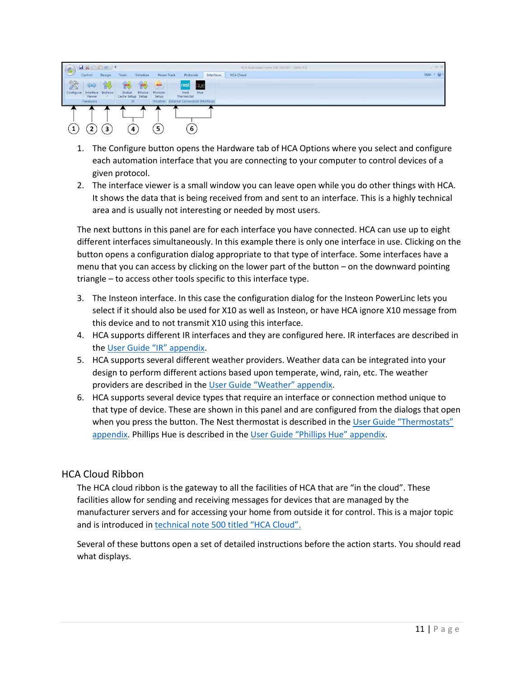| G                         | HXDDI-).          |                   |                             |          |                   |                                 |                                        |            |  | HCA Automated Home [ON SERVER - Client #1] |                             | $  \times$ |
|---------------------------|-------------------|-------------------|-----------------------------|----------|-------------------|---------------------------------|----------------------------------------|------------|--|--------------------------------------------|-----------------------------|------------|
|                           | Control           | Design<br>Tools   |                             | Schedule |                   | Protocols<br><b>Power Track</b> |                                        | Interfaces |  | <b>HCA Cloud</b>                           | Style $\sim$ $\odot$ $\sim$ |            |
| 928                       | $\Leftrightarrow$ | 仪                 | 食                           |          | $\equiv$          |                                 | nest<br>nue                            |            |  |                                            |                             |            |
| $\mathbb{Q}$<br>Configure | Viewer            | Interface Insteon | Global<br>Cache Setup Setup | Bitwise  | Provider<br>Setup |                                 | Nest<br>Hue<br>Thermostat              |            |  |                                            |                             |            |
|                           | Hardware          |                   | IR                          |          |                   |                                 | Weather External Connection Interfaces |            |  |                                            |                             |            |
|                           | ~                 | ~                 |                             |          | -                 |                                 |                                        |            |  |                                            |                             |            |
|                           |                   |                   |                             |          |                   |                                 |                                        |            |  |                                            |                             |            |
|                           |                   | 3                 | 4                           |          | 5                 |                                 | 6                                      |            |  |                                            |                             |            |

- 1. The Configure button opens the Hardware tab of HCA Options where you select and configure each automation interface that you are connecting to your computer to control devices of a given protocol.
- 2. The interface viewer is a small window you can leave open while you do other things with HCA. It shows the data that is being received from and sent to an interface. This is a highly technical area and is usually not interesting or needed by most users.

The next buttons in this panel are for each interface you have connected. HCA can use up to eight different interfaces simultaneously. In this example there is only one interface in use. Clicking on the button opens a configuration dialog appropriate to that type of interface. Some interfaces have a menu that you can access by clicking on the lower part of the button – on the downward pointing triangle – to access other tools specific to this interface type.

- 3. The Insteon interface. In this case the configuration dialog for the Insteon PowerLinc lets you select if it should also be used for X10 as well as Insteon, or have HCA ignore X10 message from this device and to not transmit X10 using this interface.
- 4. HCA supports different IR interfaces and they are configured here. IR interfaces are described in the [User Guide "IR" appendix](https://www.homecontrolassistant.com/download/V15/Doc/a05_IR.pdf).
- 5. HCA supports several different weather providers. Weather data can be integrated into your design to perform different actions based upon temperate, wind, rain, etc. The weather providers are described in the User [Guide "Weather" appendix](https://www.homecontrolassistant.com/download/V15/Doc/a04_Weather.pdf).
- 6. HCA supports several device types that require an interface or connection method unique to that type of device. These are shown in this panel and are configured from the dialogs that open when you press the button. The Nest thermostat is described in the User Guide "Thermostats" [appendix.](https://www.homecontrolassistant.com/download/V15/Doc/a03_Thermostat.pdf) Phillips Hue is described in the [User Guide "Phillips Hue" appendix](https://www.homecontrolassistant.com/download/V15/Doc/a13_Phillips%20Hue.pdf).

#### HCA Cloud Ribbon

The HCA cloud ribbon is the gateway to all the facilities of HCA that are "in the cloud". These facilities allow for sending and receiving messages for devices that are managed by the manufacturer servers and for accessing your home from outside it for control. This is a major topic and is introduced in [technical note 500 titled "HCA Cloud".](https://www.homecontrolassistant.com/download/V15/Doc/TechNotes/TechNote_500_HCACloud.pdf)

Several of these buttons open a set of detailed instructions before the action starts. You should read what displays.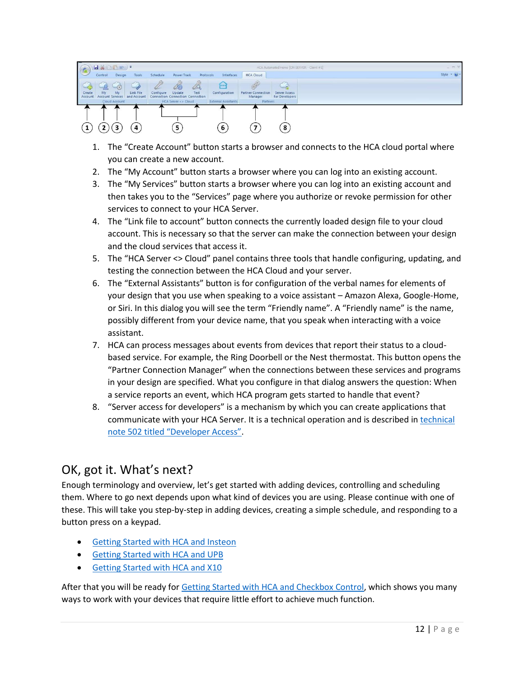

- 1. The "Create Account" button starts a browser and connects to the HCA cloud portal where you can create a new account.
- 2. The "My Account" button starts a browser where you can log into an existing account.
- 3. The "My Services" button starts a browser where you can log into an existing account and then takes you to the "Services" page where you authorize or revoke permission for other services to connect to your HCA Server.
- 4. The "Link file to account" button connects the currently loaded design file to your cloud account. This is necessary so that the server can make the connection between your design and the cloud services that access it.
- 5. The "HCA Server <> Cloud" panel contains three tools that handle configuring, updating, and testing the connection between the HCA Cloud and your server.
- 6. The "External Assistants" button is for configuration of the verbal names for elements of your design that you use when speaking to a voice assistant – Amazon Alexa, Google-Home, or Siri. In this dialog you will see the term "Friendly name". A "Friendly name" is the name, possibly different from your device name, that you speak when interacting with a voice assistant.
- 7. HCA can process messages about events from devices that report their status to a cloudbased service. For example, the Ring Doorbell or the Nest thermostat. This button opens the "Partner Connection Manager" when the connections between these services and programs in your design are specified. What you configure in that dialog answers the question: When a service reports an event, which HCA program gets started to handle that event?
- 8. "Server access for developers" is a mechanism by which you can create applications that communicate with your HCA Server. It is a technical operation and is described in [technical](https://www.homecontrolassistant.com/download/V15/Doc/TechNotes/TechNote_502_CloudDeveloperAccess.pdf)  [note 502 titled "Developer Access"](https://www.homecontrolassistant.com/download/V15/Doc/TechNotes/TechNote_502_CloudDeveloperAccess.pdf).

## OK, got it. What's next?

Enough terminology and overview, let's get started with adding devices, controlling and scheduling them. Where to go next depends upon what kind of devices you are using. Please continue with one of these. This will take you step-by-step in adding devices, creating a simple schedule, and responding to a button press on a keypad.

- **[Getting Started with HCA and Insteon](https://www.homecontrolassistant.com/download/V15/Doc/GettingStarted/Getting%20Started%20with%20HCA%20-%20Insteon.pdf)**
- [Getting Started with HCA and UPB](https://www.homecontrolassistant.com/download/V15/Doc/GettingStarted/Getting%20Started%20with%20HCA%20-%20UPB.pdf)
- [Getting Started with HCA and X10](https://www.homecontrolassistant.com/download/V15/Doc/GettingStarted/Getting%20Started%20with%20HCA%20-%20X10.pdf)

After that you will be ready for [Getting Started with HCA and Checkbox Control,](https://www.homecontrolassistant.com/download/V15/Doc/GettingStarted/Getting%20Started%20with%20HCA%20-%20Checkbox%20Control.pdf) which shows you many ways to work with your devices that require little effort to achieve much function.